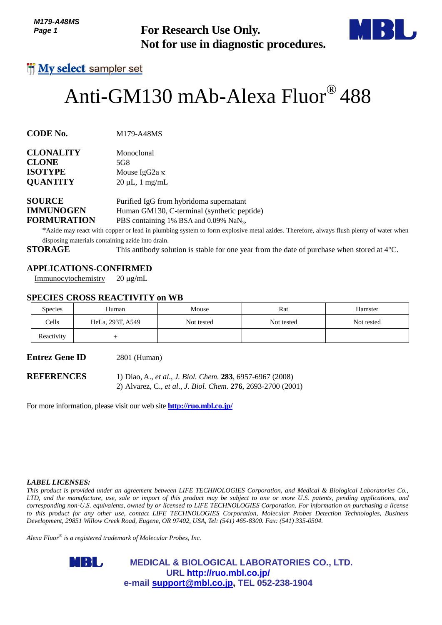*M179-A48MS Page 1*



# Anti-GM130 mAb-Alexa Fluor® 488

| <b>CLONALITY</b> | Monoclonal           |
|------------------|----------------------|
| <b>CLONE</b>     | 5G8                  |
| <b>ISOTYPE</b>   | Mouse IgG2a $\kappa$ |
| <b>QUANTITY</b>  | $20 \mu L$ , 1 mg/mL |
|                  |                      |

## **APPLICATIONS-CONFIRMED**

#### **SPECIES CROSS REACTIVITY on WB**

| טווט <del>ו מ</del> ז ווו<br>Page 1                                       |                                                                                                                                                                                            | <b>For Research Use Only.</b><br>Not for use in diagnostic procedures.                                                                       |            |                                                                                                                                                                                                                                                                                                                                                                                                                                                                                                                                           |
|---------------------------------------------------------------------------|--------------------------------------------------------------------------------------------------------------------------------------------------------------------------------------------|----------------------------------------------------------------------------------------------------------------------------------------------|------------|-------------------------------------------------------------------------------------------------------------------------------------------------------------------------------------------------------------------------------------------------------------------------------------------------------------------------------------------------------------------------------------------------------------------------------------------------------------------------------------------------------------------------------------------|
|                                                                           | <b>My select</b> sampler set                                                                                                                                                               |                                                                                                                                              |            |                                                                                                                                                                                                                                                                                                                                                                                                                                                                                                                                           |
|                                                                           | Anti-GM130 mAb-Alexa Fluor® 488                                                                                                                                                            |                                                                                                                                              |            |                                                                                                                                                                                                                                                                                                                                                                                                                                                                                                                                           |
| <b>CODE No.</b>                                                           | M179-A48MS                                                                                                                                                                                 |                                                                                                                                              |            |                                                                                                                                                                                                                                                                                                                                                                                                                                                                                                                                           |
| <b>CLONALITY</b><br><b>CLONE</b><br><b>ISOTYPE</b><br><b>QUANTITY</b>     | Monoclonal<br>5G8<br>Mouse IgG <sub>2a</sub> κ<br>$20 \mu L$ , 1 mg/mL                                                                                                                     |                                                                                                                                              |            |                                                                                                                                                                                                                                                                                                                                                                                                                                                                                                                                           |
| <b>SOURCE</b><br><b>IMMUNOGEN</b><br><b>FORMURATION</b><br><b>STORAGE</b> | disposing materials containing azide into drain.                                                                                                                                           | Purified IgG from hybridoma supernatant<br>Human GM130, C-terminal (synthetic peptide)<br>PBS containing 1% BSA and 0.09% NaN <sub>3</sub> . |            | *Azide may react with copper or lead in plumbing system to form explosive metal azides. Therefore, always flush plenty of water when<br>This antibody solution is stable for one year from the date of purchase when stored at $4^{\circ}$ C.                                                                                                                                                                                                                                                                                             |
| Immunocytochemistry                                                       | <b>APPLICATIONS-CONFIRMED</b><br>$20 \mu g/mL$<br><b>SPECIES CROSS REACTIVITY on WB</b>                                                                                                    |                                                                                                                                              |            |                                                                                                                                                                                                                                                                                                                                                                                                                                                                                                                                           |
| <b>Species</b>                                                            | Human                                                                                                                                                                                      | Mouse                                                                                                                                        | Rat        | Hamster                                                                                                                                                                                                                                                                                                                                                                                                                                                                                                                                   |
| Cells                                                                     | HeLa, 293T, A549                                                                                                                                                                           | Not tested                                                                                                                                   | Not tested | Not tested                                                                                                                                                                                                                                                                                                                                                                                                                                                                                                                                |
| Reactivity                                                                | $^{+}$                                                                                                                                                                                     |                                                                                                                                              |            |                                                                                                                                                                                                                                                                                                                                                                                                                                                                                                                                           |
| Entrez Gene ID                                                            | 2801 (Human)                                                                                                                                                                               |                                                                                                                                              |            |                                                                                                                                                                                                                                                                                                                                                                                                                                                                                                                                           |
| <b>REFERENCES</b>                                                         | For more information, please visit our web site <b>http://ruo.mbl.co.jp/</b>                                                                                                               | 1) Diao, A., et al., J. Biol. Chem. 283, 6957-6967 (2008)<br>2) Alvarez, C., et al., J. Biol. Chem. 276, 2693-2700 (2001)                    |            |                                                                                                                                                                                                                                                                                                                                                                                                                                                                                                                                           |
| <i><b>LABEL LICENSES:</b></i>                                             |                                                                                                                                                                                            |                                                                                                                                              |            |                                                                                                                                                                                                                                                                                                                                                                                                                                                                                                                                           |
|                                                                           | Development, 29851 Willow Creek Road, Eugene, OR 97402, USA, Tel: (541) 465-8300. Fax: (541) 335-0504.<br>Alexa Fluor $^{\circledast}$ is a registered trademark of Molecular Probes, Inc. |                                                                                                                                              |            | This product is provided under an agreement between LIFE TECHNOLOGIES Corporation, and Medical & Biological Laboratories Co.,<br>LTD, and the manufacture, use, sale or import of this product may be subject to one or more U.S. patents, pending applications, and<br>corresponding non-U.S. equivalents, owned by or licensed to LIFE TECHNOLOGIES Corporation. For information on purchasing a license<br>to this product for any other use, contact LIFE TECHNOLOGIES Corporation, Molecular Probes Detection Technologies, Business |
|                                                                           | MBL,                                                                                                                                                                                       | <b>MEDICAL &amp; BIOLOGICAL LABORATORIES CO., LTD.</b><br>URL http://ruo.mbl.co.jp/<br>e-mail support@mbl.co.jp, TEL 052-238-1904            |            |                                                                                                                                                                                                                                                                                                                                                                                                                                                                                                                                           |

#### *LABEL LICENSES:*

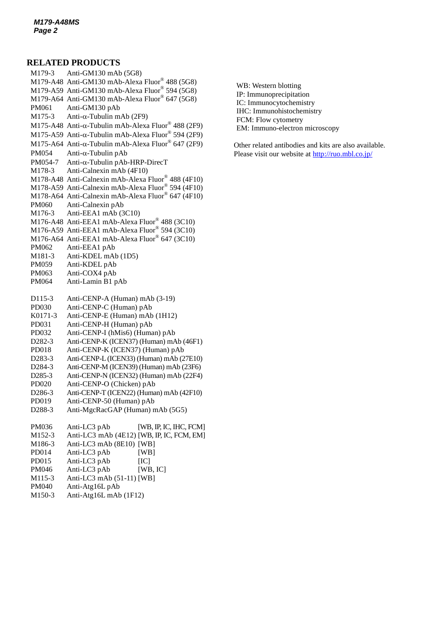#### **RELATED PRODUCTS**

M179-3 Anti-GM130 mAb (5G8) M179-A48 Anti-GM130 mAb-Alexa Fluor® 488 (5G8) M179-A59 Anti-GM130 mAb-Alexa Fluor® 594 (5G8) M179-A64 Anti-GM130 mAb-Alexa Fluor® 647 (5G8) PM061 Anti-GM130 pAb M175-3 Anti- $\alpha$ [-Tubulin mAb](http://ruo.mbl.co.jp/dtl/A/M175-3/) (2F9) M175-A48 Anti- $\alpha$ -Tubulin mAb-Alexa Fluor® 488 (2F9) M175-A59 Anti- $\alpha$ -Tubulin mAb-Alexa Fluor® 594 (2F9) M175-A64 Anti- $\alpha$ -Tubulin mAb-Alexa Fluor® 647 (2F9)  $PM054$  Anti- $\alpha$ [-Tubulin pAb](http://ruo.mbl.co.jp/dtl/A/PM054/)  $PM054-7$  Anti- $\alpha$ [-Tubulin pAb-HRP-DirecT](http://ruo.mbl.co.jp/dtl/A/PM054-7/) M178-3 Anti-Calnexin mAb (4F10) M178-A48 Anti-Calnexin mAb-Alexa Fluor® 488 (4F10) M178-A59 Anti-Calnexin mAb-Alexa Fluor® 594 (4F10) M178-A64 Anti-Calnexin mAb-Alexa Fluor® 647 (4F10) PM060 Anti-Calnexin pAb M176-3 Anti-EEA1 mAb (3C10) M176-A48 Anti-EEA1 mAb-Alexa Fluor® 488 (3C10) M176-A59 Anti-EEA1 mAb-Alexa Fluor® 594 (3C10) M176-A64 Anti-EEA1 mAb-Alexa Fluor® 647 (3C10) PM062 Anti-EEA1 pAb M181-3 Anti-KDEL mAb (1D5) PM059 Anti-KDEL pAb PM063 Anti-COX4 pAb PM064 Anti-Lamin B1 pAb D115-3 Anti-CENP-A (Human) mAb (3-19) PD030 [Anti-CENP-C \(Human\) pAb](http://ruo.mbl.co.jp/dtl/A/PD030/) K0171-3 Anti-CENP-E (Human) mAb (1H12) PD031 [Anti-CENP-H \(Human\) pAb](http://ruo.mbl.co.jp/dtl/A/PD030/) PD032 [Anti-CENP-I \(hMis6\) \(Human\) pAb](http://ruo.mbl.co.jp/dtl/A/PD032/) D282-3 [Anti-CENP-K \(ICEN37\) \(Human\) mAb](http://ruo.mbl.co.jp/dtl/A/D282-3/) (46F1) PD018 Anti-CENP-K (ICEN37) (Human) pAb D283-3 [Anti-CENP-L \(ICEN33\) \(Human\) mAb](http://ruo.mbl.co.jp/dtl/A/D283-3/) (27E10) D284-3 Anti-CENP-M [\(ICEN39\) \(Human\) mAb](http://ruo.mbl.co.jp/dtl/A/D284-3/) (23F6) D285-3 [Anti-CENP-N \(ICEN32\) \(Human\) mAb](http://ruo.mbl.co.jp/dtl/A/D285-3/) (22F4) PD020 Anti-CENP-O (Chicken) pAb D286-3 [Anti-CENP-T \(ICEN22\) \(Human\) mAb](http://ruo.mbl.co.jp/dtl/A/D286-3/) (42F10) PD019 Anti-CENP-50 (Human) pAb D288-3 Anti-MgcRacGAP (Human) mAb (5G5) PM036 Anti-LC3 pAb [WB, IP, IC, IHC, FCM] M152-3 Anti-LC3 mAb (4E12) [WB, IP, IC, FCM, EM] M186-3 Anti-LC3 mAb (8E10) [WB] PD014 Anti-LC3 pAb [WB] PD015 Anti-LC3 pAb [IC] PM046 Anti-LC3 pAb [WB, IC] M115-3 Anti-LC3 mAb (51-11) [WB] PM040 [Anti-Atg16L pAb](http://ruo.mbl.co.jp/dtl/A/PM040/)

M150-3 [Anti-Atg16L mAb](http://ruo.mbl.co.jp/dtl/A/M150-3/) (1F12)

- WB: Western blotting IP: Immunoprecipitation IC: Immunocytochemistry IHC: Immunohistochemistry FCM: Flow cytometry
- EM: Immuno-electron microscopy

Other related antibodies and kits are also available. Please visit our website at<http://ruo.mbl.co.jp/>